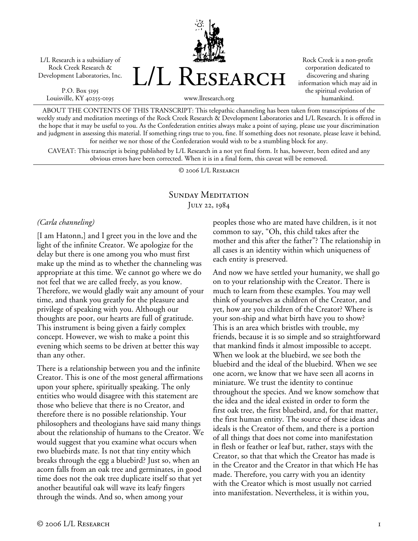L/L Research is a subsidiary of Rock Creek Research & Development Laboratories, Inc.

P.O. Box 5195 Louisville, KY 40255-0195 L/L Research

Rock Creek is a non-profit corporation dedicated to discovering and sharing information which may aid in the spiritual evolution of humankind.

www.llresearch.org

ABOUT THE CONTENTS OF THIS TRANSCRIPT: This telepathic channeling has been taken from transcriptions of the weekly study and meditation meetings of the Rock Creek Research & Development Laboratories and L/L Research. It is offered in the hope that it may be useful to you. As the Confederation entities always make a point of saying, please use your discrimination and judgment in assessing this material. If something rings true to you, fine. If something does not resonate, please leave it behind, for neither we nor those of the Confederation would wish to be a stumbling block for any.

CAVEAT: This transcript is being published by L/L Research in a not yet final form. It has, however, been edited and any obvious errors have been corrected. When it is in a final form, this caveat will be removed.

© 2006 L/L Research

# SUNDAY MEDITATION July 22, 1984

## *(Carla channeling)*

[I am Hatonn,] and I greet you in the love and the light of the infinite Creator. We apologize for the delay but there is one among you who must first make up the mind as to whether the channeling was appropriate at this time. We cannot go where we do not feel that we are called freely, as you know. Therefore, we would gladly wait any amount of your time, and thank you greatly for the pleasure and privilege of speaking with you. Although our thoughts are poor, our hearts are full of gratitude. This instrument is being given a fairly complex concept. However, we wish to make a point this evening which seems to be driven at better this way than any other.

There is a relationship between you and the infinite Creator. This is one of the most general affirmations upon your sphere, spiritually speaking. The only entities who would disagree with this statement are those who believe that there is no Creator, and therefore there is no possible relationship. Your philosophers and theologians have said many things about the relationship of humans to the Creator. We would suggest that you examine what occurs when two bluebirds mate. Is not that tiny entity which breaks through the egg a bluebird? Just so, when an acorn falls from an oak tree and germinates, in good time does not the oak tree duplicate itself so that yet another beautiful oak will wave its leafy fingers through the winds. And so, when among your

peoples those who are mated have children, is it not common to say, "Oh, this child takes after the mother and this after the father"? The relationship in all cases is an identity within which uniqueness of each entity is preserved.

And now we have settled your humanity, we shall go on to your relationship with the Creator. There is much to learn from these examples. You may well think of yourselves as children of the Creator, and yet, how are you children of the Creator? Where is your son-ship and what birth have you to show? This is an area which bristles with trouble, my friends, because it is so simple and so straightforward that mankind finds it almost impossible to accept. When we look at the bluebird, we see both the bluebird and the ideal of the bluebird. When we see one acorn, we know that we have seen all acorns in miniature. We trust the identity to continue throughout the species. And we know somehow that the idea and the ideal existed in order to form the first oak tree, the first bluebird, and, for that matter, the first human entity. The source of these ideas and ideals is the Creator of them, and there is a portion of all things that does not come into manifestation in flesh or feather or leaf but, rather, stays with the Creator, so that that which the Creator has made is in the Creator and the Creator in that which He has made. Therefore, you carry with you an identity with the Creator which is most usually not carried into manifestation. Nevertheless, it is within you,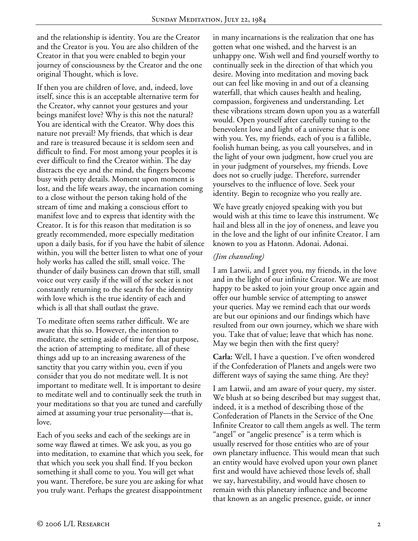and the relationship is identity. You are the Creator and the Creator is you. You are also children of the Creator in that you were enabled to begin your journey of consciousness by the Creator and the one original Thought, which is love.

If then you are children of love, and, indeed, love itself, since this is an acceptable alternative term for the Creator, why cannot your gestures and your beings manifest love? Why is this not the natural? You are identical with the Creator. Why does this nature not prevail? My friends, that which is dear and rare is treasured because it is seldom seen and difficult to find. For most among your peoples it is ever difficult to find the Creator within. The day distracts the eye and the mind, the fingers become busy with petty details. Moment upon moment is lost, and the life wears away, the incarnation coming to a close without the person taking hold of the stream of time and making a conscious effort to manifest love and to express that identity with the Creator. It is for this reason that meditation is so greatly recommended, more especially meditation upon a daily basis, for if you have the habit of silence within, you will the better listen to what one of your holy works has called the still, small voice. The thunder of daily business can drown that still, small voice out very easily if the will of the seeker is not constantly returning to the search for the identity with love which is the true identity of each and which is all that shall outlast the grave.

To meditate often seems rather difficult. We are aware that this so. However, the intention to meditate, the setting aside of time for that purpose, the action of attempting to meditate, all of these things add up to an increasing awareness of the sanctity that you carry within you, even if you consider that you do not meditate well. It is not important to meditate well. It is important to desire to meditate well and to continually seek the truth in your meditations so that you are tuned and carefully aimed at assuming your true personality—that is, love.

Each of you seeks and each of the seekings are in some way flawed at times. We ask you, as you go into meditation, to examine that which you seek, for that which you seek you shall find. If you beckon something it shall come to you. You will get what you want. Therefore, be sure you are asking for what you truly want. Perhaps the greatest disappointment

in many incarnations is the realization that one has gotten what one wished, and the harvest is an unhappy one. Wish well and find yourself worthy to continually seek in the direction of that which you desire. Moving into meditation and moving back out can feel like moving in and out of a cleansing waterfall, that which causes health and healing, compassion, forgiveness and understanding. Let these vibrations stream down upon you as a waterfall would. Open yourself after carefully tuning to the benevolent love and light of a universe that is one with you. Yes, my friends, each of you is a fallible, foolish human being, as you call yourselves, and in the light of your own judgment, how cruel you are in your judgment of yourselves, my friends. Love does not so cruelly judge. Therefore, surrender yourselves to the influence of love. Seek your identity. Begin to recognize who you really are.

We have greatly enjoyed speaking with you but would wish at this time to leave this instrument. We hail and bless all in the joy of oneness, and leave you in the love and the light of our infinite Creator. I am known to you as Hatonn. Adonai. Adonai.

# *(Jim channeling)*

I am Latwii, and I greet you, my friends, in the love and in the light of our infinite Creator. We are most happy to be asked to join your group once again and offer our humble service of attempting to answer your queries. May we remind each that our words are but our opinions and our findings which have resulted from our own journey, which we share with you. Take that of value; leave that which has none. May we begin then with the first query?

**Carla:** Well, I have a question. I've often wondered if the Confederation of Planets and angels were two different ways of saying the same thing. Are they?

I am Latwii, and am aware of your query, my sister. We blush at so being described but may suggest that, indeed, it is a method of describing those of the Confederation of Planets in the Service of the One Infinite Creator to call them angels as well. The term "angel" or "angelic presence" is a term which is usually reserved for those entities who are of your own planetary influence. This would mean that such an entity would have evolved upon your own planet first and would have achieved those levels of, shall we say, harvestability, and would have chosen to remain with this planetary influence and become that known as an angelic presence, guide, or inner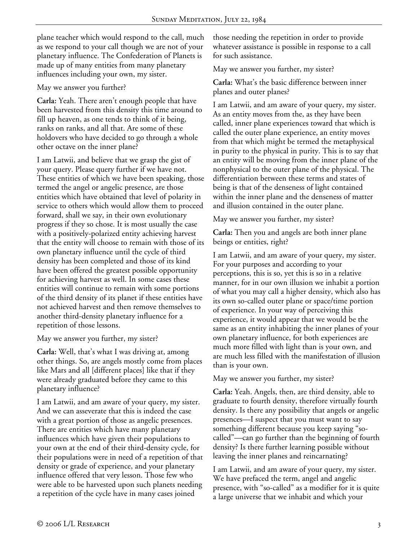plane teacher which would respond to the call, much as we respond to your call though we are not of your planetary influence. The Confederation of Planets is made up of many entities from many planetary influences including your own, my sister.

# May we answer you further?

**Carla:** Yeah. There aren't enough people that have been harvested from this density this time around to fill up heaven, as one tends to think of it being, ranks on ranks, and all that. Are some of these holdovers who have decided to go through a whole other octave on the inner plane?

I am Latwii, and believe that we grasp the gist of your query. Please query further if we have not. These entities of which we have been speaking, those termed the angel or angelic presence, are those entities which have obtained that level of polarity in service to others which would allow them to proceed forward, shall we say, in their own evolutionary progress if they so chose. It is most usually the case with a positively-polarized entity achieving harvest that the entity will choose to remain with those of its own planetary influence until the cycle of third density has been completed and those of its kind have been offered the greatest possible opportunity for achieving harvest as well. In some cases these entities will continue to remain with some portions of the third density of its planet if these entities have not achieved harvest and then remove themselves to another third-density planetary influence for a repetition of those lessons.

May we answer you further, my sister?

**Carla:** Well, that's what I was driving at, among other things. So, are angels mostly come from places like Mars and all [different places] like that if they were already graduated before they came to this planetary influence?

I am Latwii, and am aware of your query, my sister. And we can asseverate that this is indeed the case with a great portion of those as angelic presences. There are entities which have many planetary influences which have given their populations to your own at the end of their third-density cycle, for their populations were in need of a repetition of that density or grade of experience, and your planetary influence offered that very lesson. Those few who were able to be harvested upon such planets needing a repetition of the cycle have in many cases joined

those needing the repetition in order to provide whatever assistance is possible in response to a call for such assistance.

May we answer you further, my sister?

**Carla:** What's the basic difference between inner planes and outer planes?

I am Latwii, and am aware of your query, my sister. As an entity moves from the, as they have been called, inner plane experiences toward that which is called the outer plane experience, an entity moves from that which might be termed the metaphysical in purity to the physical in purity. This is to say that an entity will be moving from the inner plane of the nonphysical to the outer plane of the physical. The differentiation between these terms and states of being is that of the denseness of light contained within the inner plane and the denseness of matter and illusion contained in the outer plane.

May we answer you further, my sister?

**Carla:** Then you and angels are both inner plane beings or entities, right?

I am Latwii, and am aware of your query, my sister. For your purposes and according to your perceptions, this is so, yet this is so in a relative manner, for in our own illusion we inhabit a portion of what you may call a higher density, which also has its own so-called outer plane or space/time portion of experience. In your way of perceiving this experience, it would appear that we would be the same as an entity inhabiting the inner planes of your own planetary influence, for both experiences are much more filled with light than is your own, and are much less filled with the manifestation of illusion than is your own.

May we answer you further, my sister?

**Carla:** Yeah. Angels, then, are third density, able to graduate to fourth density, therefore virtually fourth density. Is there any possibility that angels or angelic presences—I suspect that you must want to say something different because you keep saying "socalled"—can go further than the beginning of fourth density? Is there further learning possible without leaving the inner planes and reincarnating?

I am Latwii, and am aware of your query, my sister. We have prefaced the term, angel and angelic presence, with "so-called" as a modifier for it is quite a large universe that we inhabit and which your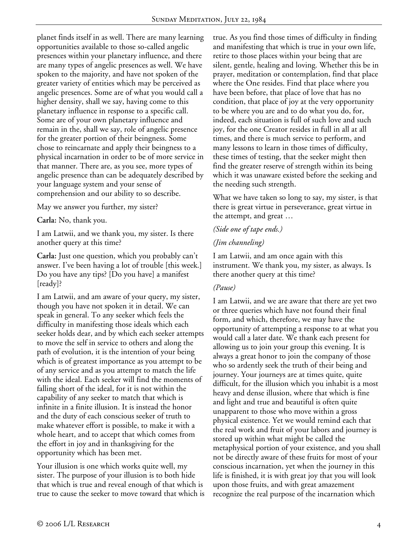planet finds itself in as well. There are many learning opportunities available to those so-called angelic presences within your planetary influence, and there are many types of angelic presences as well. We have spoken to the majority, and have not spoken of the greater variety of entities which may be perceived as angelic presences. Some are of what you would call a higher density, shall we say, having come to this planetary influence in response to a specific call. Some are of your own planetary influence and remain in the, shall we say, role of angelic presence for the greater portion of their beingness. Some chose to reincarnate and apply their beingness to a physical incarnation in order to be of more service in that manner. There are, as you see, more types of angelic presence than can be adequately described by your language system and your sense of comprehension and our ability to so describe.

May we answer you further, my sister?

**Carla:** No, thank you.

I am Latwii, and we thank you, my sister. Is there another query at this time?

**Carla:** Just one question, which you probably can't answer. I've been having a lot of trouble [this week.] Do you have any tips? [Do you have] a manifest [ready]?

I am Latwii, and am aware of your query, my sister, though you have not spoken it in detail. We can speak in general. To any seeker which feels the difficulty in manifesting those ideals which each seeker holds dear, and by which each seeker attempts to move the self in service to others and along the path of evolution, it is the intention of your being which is of greatest importance as you attempt to be of any service and as you attempt to match the life with the ideal. Each seeker will find the moments of falling short of the ideal, for it is not within the capability of any seeker to match that which is infinite in a finite illusion. It is instead the honor and the duty of each conscious seeker of truth to make whatever effort is possible, to make it with a whole heart, and to accept that which comes from the effort in joy and in thanksgiving for the opportunity which has been met.

Your illusion is one which works quite well, my sister. The purpose of your illusion is to both hide that which is true and reveal enough of that which is true to cause the seeker to move toward that which is true. As you find those times of difficulty in finding and manifesting that which is true in your own life, retire to those places within your being that are silent, gentle, healing and loving. Whether this be in prayer, meditation or contemplation, find that place where the One resides. Find that place where you have been before, that place of love that has no condition, that place of joy at the very opportunity to be where you are and to do what you do, for, indeed, each situation is full of such love and such joy, for the one Creator resides in full in all at all times, and there is much service to perform, and many lessons to learn in those times of difficulty, these times of testing, that the seeker might then find the greater reserve of strength within its being which it was unaware existed before the seeking and the needing such strength.

What we have taken so long to say, my sister, is that there is great virtue in perseverance, great virtue in the attempt, and great …

## *(Side one of tape ends.)*

#### *(Jim channeling)*

I am Latwii, and am once again with this instrument. We thank you, my sister, as always. Is there another query at this time?

## *(Pause)*

I am Latwii, and we are aware that there are yet two or three queries which have not found their final form, and which, therefore, we may have the opportunity of attempting a response to at what you would call a later date. We thank each present for allowing us to join your group this evening. It is always a great honor to join the company of those who so ardently seek the truth of their being and journey. Your journeys are at times quite, quite difficult, for the illusion which you inhabit is a most heavy and dense illusion, where that which is fine and light and true and beautiful is often quite unapparent to those who move within a gross physical existence. Yet we would remind each that the real work and fruit of your labors and journey is stored up within what might be called the metaphysical portion of your existence, and you shall not be directly aware of these fruits for most of your conscious incarnation, yet when the journey in this life is finished, it is with great joy that you will look upon those fruits, and with great amazement recognize the real purpose of the incarnation which